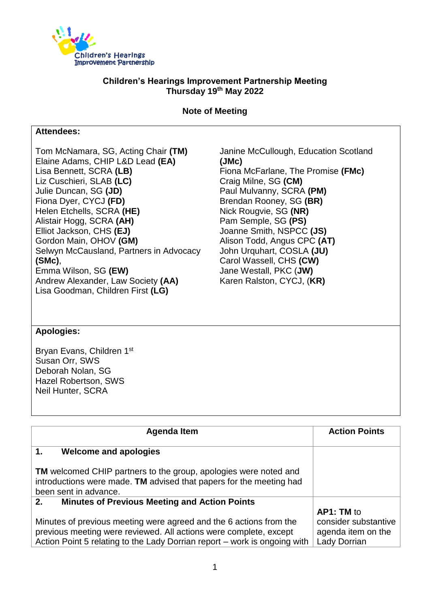

## **Children's Hearings Improvement Partnership Meeting Thursday 19th May 2022**

**Note of Meeting**

## **Attendees:**

Tom McNamara, SG, Acting Chair **(TM)** Elaine Adams, CHIP L&D Lead **(EA)** Lisa Bennett, SCRA **(LB)** Liz Cuschieri, SLAB **(LC)** Julie Duncan, SG **(JD)** Fiona Dyer, CYCJ **(FD)** Helen Etchells, SCRA **(HE)** Alistair Hogg, SCRA **(AH)** Elliot Jackson, CHS **(EJ)** Gordon Main, OHOV **(GM)** Selwyn McCausland, Partners in Advocacy **(SMc)**, Emma Wilson, SG **(EW)** Andrew Alexander, Law Society **(AA)** Lisa Goodman, Children First **(LG)**

Janine McCullough, Education Scotland **(JMc)** Fiona McFarlane, The Promise **(FMc)** Craig Milne, SG **(CM)** Paul Mulvanny, SCRA **(PM)** Brendan Rooney, SG **(BR)** Nick Rougvie, SG **(NR)** Pam Semple, SG **(PS)** Joanne Smith, NSPCC **(JS)** Alison Todd, Angus CPC **(AT)** John Urquhart, COSLA **(JU)** Carol Wassell, CHS **(CW)** Jane Westall, PKC (**JW)** Karen Ralston, CYCJ, (**KR)**

## **Apologies:**

Bryan Evans, Children 1st Susan Orr, SWS Deborah Nolan, SG Hazel Robertson, SWS Neil Hunter, SCRA

| <b>Agenda Item</b>                                                                                                                                                                                                   | <b>Action Points</b>                                                     |
|----------------------------------------------------------------------------------------------------------------------------------------------------------------------------------------------------------------------|--------------------------------------------------------------------------|
| 1.<br><b>Welcome and apologies</b>                                                                                                                                                                                   |                                                                          |
| <b>TM</b> welcomed CHIP partners to the group, apologies were noted and<br>introductions were made. TM advised that papers for the meeting had<br>been sent in advance.                                              |                                                                          |
| <b>Minutes of Previous Meeting and Action Points</b><br>2.                                                                                                                                                           |                                                                          |
| Minutes of previous meeting were agreed and the 6 actions from the<br>previous meeting were reviewed. All actions were complete, except<br>Action Point 5 relating to the Lady Dorrian report – work is ongoing with | AP1: TM to<br>consider substantive<br>agenda item on the<br>Lady Dorrian |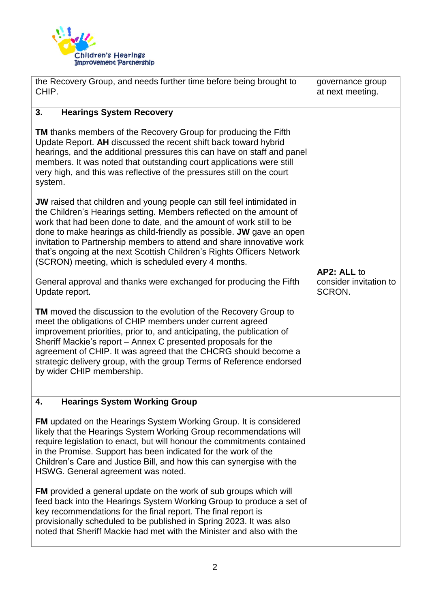

| the Recovery Group, and needs further time before being brought to<br>CHIP.                                                                                                                                                                                                                                                                                                                                                                                                                                   | governance group<br>at next meeting. |
|---------------------------------------------------------------------------------------------------------------------------------------------------------------------------------------------------------------------------------------------------------------------------------------------------------------------------------------------------------------------------------------------------------------------------------------------------------------------------------------------------------------|--------------------------------------|
| 3.<br><b>Hearings System Recovery</b>                                                                                                                                                                                                                                                                                                                                                                                                                                                                         |                                      |
| <b>TM</b> thanks members of the Recovery Group for producing the Fifth<br>Update Report. AH discussed the recent shift back toward hybrid<br>hearings, and the additional pressures this can have on staff and panel<br>members. It was noted that outstanding court applications were still<br>very high, and this was reflective of the pressures still on the court<br>system.                                                                                                                             |                                      |
| <b>JW</b> raised that children and young people can still feel intimidated in<br>the Children's Hearings setting. Members reflected on the amount of<br>work that had been done to date, and the amount of work still to be<br>done to make hearings as child-friendly as possible. JW gave an open<br>invitation to Partnership members to attend and share innovative work<br>that's ongoing at the next Scottish Children's Rights Officers Network<br>(SCRON) meeting, which is scheduled every 4 months. | AP2: ALL to                          |
| General approval and thanks were exchanged for producing the Fifth<br>Update report.                                                                                                                                                                                                                                                                                                                                                                                                                          | consider invitation to<br>SCRON.     |
| <b>TM</b> moved the discussion to the evolution of the Recovery Group to<br>meet the obligations of CHIP members under current agreed<br>improvement priorities, prior to, and anticipating, the publication of<br>Sheriff Mackie's report - Annex C presented proposals for the<br>agreement of CHIP. It was agreed that the CHCRG should become a<br>strategic delivery group, with the group Terms of Reference endorsed<br>by wider CHIP membership.                                                      |                                      |
| <b>Hearings System Working Group</b><br>4.                                                                                                                                                                                                                                                                                                                                                                                                                                                                    |                                      |
| <b>FM</b> updated on the Hearings System Working Group. It is considered<br>likely that the Hearings System Working Group recommendations will<br>require legislation to enact, but will honour the commitments contained<br>in the Promise. Support has been indicated for the work of the<br>Children's Care and Justice Bill, and how this can synergise with the<br>HSWG. General agreement was noted.                                                                                                    |                                      |
| <b>FM</b> provided a general update on the work of sub groups which will<br>feed back into the Hearings System Working Group to produce a set of<br>key recommendations for the final report. The final report is<br>provisionally scheduled to be published in Spring 2023. It was also<br>noted that Sheriff Mackie had met with the Minister and also with the                                                                                                                                             |                                      |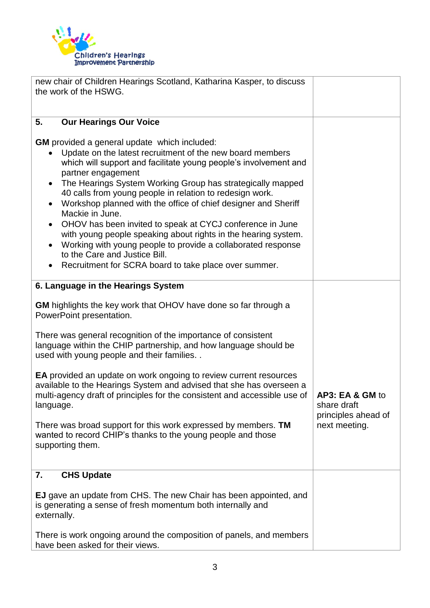

| new chair of Children Hearings Scotland, Katharina Kasper, to discuss<br>the work of the HSWG.                                                                                                                                                                                                                                                                                                                                                                                                                                                                                                                                                                                                                     |                                                                        |
|--------------------------------------------------------------------------------------------------------------------------------------------------------------------------------------------------------------------------------------------------------------------------------------------------------------------------------------------------------------------------------------------------------------------------------------------------------------------------------------------------------------------------------------------------------------------------------------------------------------------------------------------------------------------------------------------------------------------|------------------------------------------------------------------------|
|                                                                                                                                                                                                                                                                                                                                                                                                                                                                                                                                                                                                                                                                                                                    |                                                                        |
| <b>Our Hearings Our Voice</b><br>5.                                                                                                                                                                                                                                                                                                                                                                                                                                                                                                                                                                                                                                                                                |                                                                        |
| <b>GM</b> provided a general update which included:<br>Update on the latest recruitment of the new board members<br>which will support and facilitate young people's involvement and<br>partner engagement<br>The Hearings System Working Group has strategically mapped<br>40 calls from young people in relation to redesign work.<br>Workshop planned with the office of chief designer and Sheriff<br>Mackie in June.<br>OHOV has been invited to speak at CYCJ conference in June<br>with young people speaking about rights in the hearing system.<br>Working with young people to provide a collaborated response<br>to the Care and Justice Bill.<br>Recruitment for SCRA board to take place over summer. |                                                                        |
| 6. Language in the Hearings System                                                                                                                                                                                                                                                                                                                                                                                                                                                                                                                                                                                                                                                                                 |                                                                        |
| GM highlights the key work that OHOV have done so far through a<br>PowerPoint presentation.<br>There was general recognition of the importance of consistent<br>language within the CHIP partnership, and how language should be<br>used with young people and their families<br>EA provided an update on work ongoing to review current resources<br>available to the Hearings System and advised that she has overseen a<br>multi-agency draft of principles for the consistent and accessible use of<br>language.<br>There was broad support for this work expressed by members. TM<br>wanted to record CHIP's thanks to the young people and those<br>supporting them.                                         | AP3: EA & GM to<br>share draft<br>principles ahead of<br>next meeting. |
| <b>CHS Update</b><br>7.                                                                                                                                                                                                                                                                                                                                                                                                                                                                                                                                                                                                                                                                                            |                                                                        |
| <b>EJ</b> gave an update from CHS. The new Chair has been appointed, and<br>is generating a sense of fresh momentum both internally and<br>externally.                                                                                                                                                                                                                                                                                                                                                                                                                                                                                                                                                             |                                                                        |
| There is work ongoing around the composition of panels, and members<br>have been asked for their views.                                                                                                                                                                                                                                                                                                                                                                                                                                                                                                                                                                                                            |                                                                        |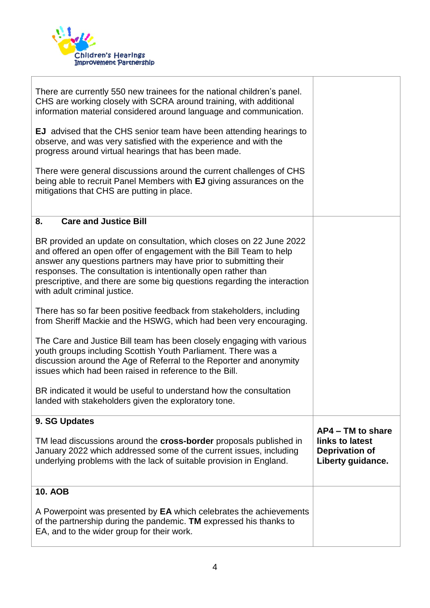

| There are currently 550 new trainees for the national children's panel.<br>CHS are working closely with SCRA around training, with additional<br>information material considered around language and communication.<br><b>EJ</b> advised that the CHS senior team have been attending hearings to<br>observe, and was very satisfied with the experience and with the<br>progress around virtual hearings that has been made.<br>There were general discussions around the current challenges of CHS<br>being able to recruit Panel Members with EJ giving assurances on the<br>mitigations that CHS are putting in place. |                                                                                      |
|----------------------------------------------------------------------------------------------------------------------------------------------------------------------------------------------------------------------------------------------------------------------------------------------------------------------------------------------------------------------------------------------------------------------------------------------------------------------------------------------------------------------------------------------------------------------------------------------------------------------------|--------------------------------------------------------------------------------------|
| <b>Care and Justice Bill</b><br>8.                                                                                                                                                                                                                                                                                                                                                                                                                                                                                                                                                                                         |                                                                                      |
| BR provided an update on consultation, which closes on 22 June 2022<br>and offered an open offer of engagement with the Bill Team to help<br>answer any questions partners may have prior to submitting their<br>responses. The consultation is intentionally open rather than<br>prescriptive, and there are some big questions regarding the interaction<br>with adult criminal justice.                                                                                                                                                                                                                                 |                                                                                      |
| There has so far been positive feedback from stakeholders, including<br>from Sheriff Mackie and the HSWG, which had been very encouraging.                                                                                                                                                                                                                                                                                                                                                                                                                                                                                 |                                                                                      |
| The Care and Justice Bill team has been closely engaging with various<br>youth groups including Scottish Youth Parliament. There was a<br>discussion around the Age of Referral to the Reporter and anonymity<br>issues which had been raised in reference to the Bill.                                                                                                                                                                                                                                                                                                                                                    |                                                                                      |
| BR indicated it would be useful to understand how the consultation<br>landed with stakeholders given the exploratory tone.                                                                                                                                                                                                                                                                                                                                                                                                                                                                                                 |                                                                                      |
| 9. SG Updates                                                                                                                                                                                                                                                                                                                                                                                                                                                                                                                                                                                                              |                                                                                      |
| TM lead discussions around the <b>cross-border</b> proposals published in<br>January 2022 which addressed some of the current issues, including<br>underlying problems with the lack of suitable provision in England.                                                                                                                                                                                                                                                                                                                                                                                                     | $AP4 - TM$ to share<br>links to latest<br><b>Deprivation of</b><br>Liberty guidance. |
| <b>10. AOB</b>                                                                                                                                                                                                                                                                                                                                                                                                                                                                                                                                                                                                             |                                                                                      |
| A Powerpoint was presented by EA which celebrates the achievements<br>of the partnership during the pandemic. TM expressed his thanks to<br>EA, and to the wider group for their work.                                                                                                                                                                                                                                                                                                                                                                                                                                     |                                                                                      |